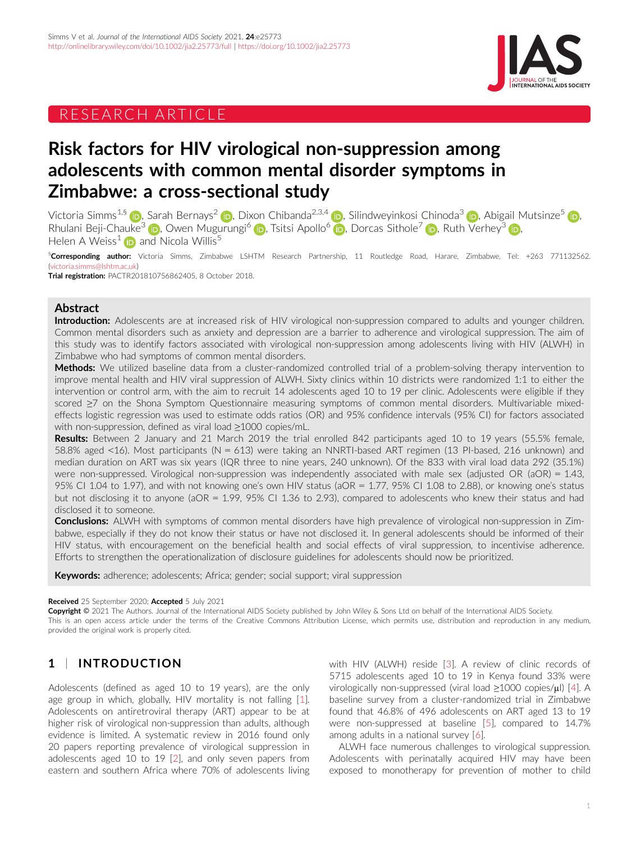# RESEARCH ARTICLE



# Risk factors for HIV virological non-suppression among adolescents with common mental disorder symptoms in Zimbabwe: a cross-sectional study

Victoria Simms<sup>1,[§](https://orcid.org/0000-0002-4897-458X)</sup> (**D**, Sarah Bernays<sup>2</sup> (D, Dixon Chibanda<sup>2,3,4</sup> (D, Silindweyinkosi Chinoda<sup>3</sup> (D, Abigail Mutsinze<sup>[5](https://orcid.org/0000-0003-0668-3343)</sup> (D, Rhulani Beji-Chauke<sup>[3](https://orcid.org/0000-0002-5959-1891)</sup> **D**, Owen Mugurungi<sup>[6](https://orcid.org/0000-0003-2505-8607)</sup> **D**, Tsitsi Apollo<sup>6</sup> **D**, Dorcas Sithole<sup>7</sup> **D**, Ruth Verhey<sup>3</sup> **D**, Helen A Weiss<sup>1</sup> **i** and Nicola Willis<sup>5</sup>

§**Corresponding author:** Victoria Simms, Zimbabwe LSHTM Research Partnership, 11 Routledge Road, Harare, Zimbabwe. Tel: +263 771132562. ([victoria.simms@lshtm.ac.uk\)](mailto:victoria.simms@lshtm.ac.uk)

Trial registration: PACTR201810756862405, 8 October 2018.

### Abstract

Introduction: Adolescents are at increased risk of HIV virological non-suppression compared to adults and younger children. Common mental disorders such as anxiety and depression are a barrier to adherence and virological suppression. The aim of this study was to identify factors associated with virological non-suppression among adolescents living with HIV (ALWH) in Zimbabwe who had symptoms of common mental disorders.

Methods: We utilized baseline data from a cluster-randomized controlled trial of a problem-solving therapy intervention to improve mental health and HIV viral suppression of ALWH. Sixty clinics within 10 districts were randomized 1:1 to either the intervention or control arm, with the aim to recruit 14 adolescents aged 10 to 19 per clinic. Adolescents were eligible if they scored ≥7 on the Shona Symptom Questionnaire measuring symptoms of common mental disorders. Multivariable mixedeffects logistic regression was used to estimate odds ratios (OR) and 95% confidence intervals (95% CI) for factors associated with non-suppression, defined as viral load ≥1000 copies/mL.

Results: Between 2 January and 21 March 2019 the trial enrolled 842 participants aged 10 to 19 years (55.5% female, 58.8% aged <16). Most participants (N = 613) were taking an NNRTI-based ART regimen (13 PI-based, 216 unknown) and median duration on ART was six years (IQR three to nine years, 240 unknown). Of the 833 with viral load data 292 (35.1%) were non-suppressed. Virological non-suppression was independently associated with male sex (adjusted OR (aOR) = 1.43, 95% CI 1.04 to 1.97), and with not knowing one's own HIV status (aOR = 1.77, 95% CI 1.08 to 2.88), or knowing one's status but not disclosing it to anyone (aOR = 1.99, 95% CI 1.36 to 2.93), compared to adolescents who knew their status and had disclosed it to someone.

**Conclusions:** ALWH with symptoms of common mental disorders have high prevalence of virological non-suppression in Zimbabwe, especially if they do not know their status or have not disclosed it. In general adolescents should be informed of their HIV status, with encouragement on the beneficial health and social effects of viral suppression, to incentivise adherence. Efforts to strengthen the operationalization of disclosure guidelines for adolescents should now be prioritized.

Keywords: adherence; adolescents; Africa; gender; social support; viral suppression

#### Received 25 September 2020; Accepted 5 July 2021

Copyright © 2021 The Authors. Journal of the International AIDS Society published by John Wiley & Sons Ltd on behalf of the International AIDS Society. This is an open access article under the terms of the [Creative Commons Attribution](http://creativecommons.org/licenses/by/4.0/) License, which permits use, distribution and reproduction in any medium, provided the original work is properly cited.

# 1 | INTRODUCTION

Adolescents (defined as aged 10 to 19 years), are the only age group in which, globally, HIV mortality is not falling [\[1](#page-9-0)]. Adolescents on antiretroviral therapy (ART) appear to be at higher risk of virological non-suppression than adults, although evidence is limited. A systematic review in 2016 found only 20 papers reporting prevalence of virological suppression in adolescents aged 10 to 19 [[2\]](#page-9-0), and only seven papers from eastern and southern Africa where 70% of adolescents living

with HIV (ALWH) reside [\[3\]](#page-9-0). A review of clinic records of 5715 adolescents aged 10 to 19 in Kenya found 33% were virologically non-suppressed (viral load ≥1000 copies/µl) [\[4\]](#page-9-0). A baseline survey from a cluster-randomized trial in Zimbabwe found that 46.8% of 496 adolescents on ART aged 13 to 19 were non-suppressed at baseline [\[5](#page-9-0)], compared to 14.7% among adults in a national survey [[6\]](#page-9-0).

ALWH face numerous challenges to virological suppression. Adolescents with perinatally acquired HIV may have been exposed to monotherapy for prevention of mother to child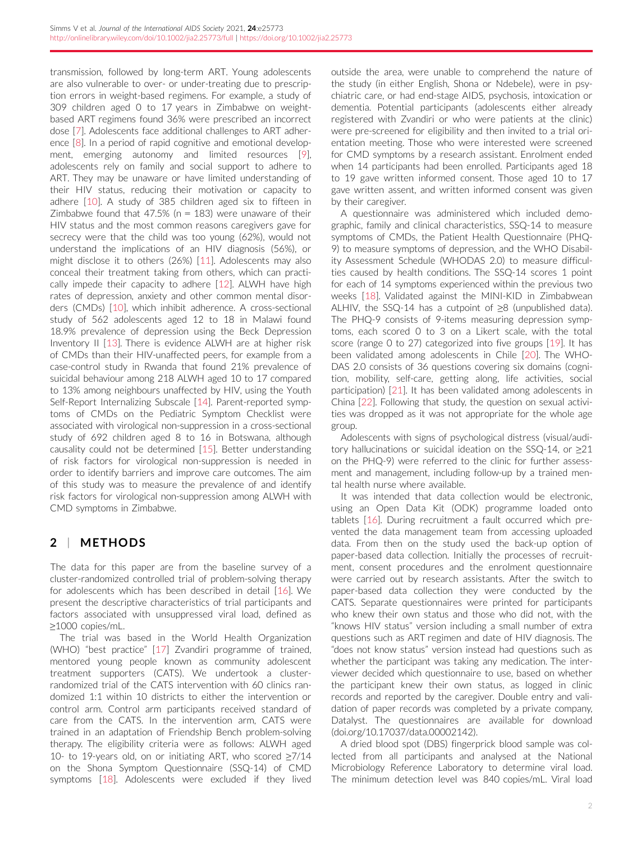transmission, followed by long-term ART. Young adolescents are also vulnerable to over- or under-treating due to prescription errors in weight-based regimens. For example, a study of 309 children aged 0 to 17 years in Zimbabwe on weightbased ART regimens found 36% were prescribed an incorrect dose [\[7](#page-9-0)]. Adolescents face additional challenges to ART adherence [\[8](#page-9-0)]. In a period of rapid cognitive and emotional development, emerging autonomy and limited resources [[9\]](#page-9-0), adolescents rely on family and social support to adhere to ART. They may be unaware or have limited understanding of their HIV status, reducing their motivation or capacity to adhere [\[10\]](#page-9-0). A study of 385 children aged six to fifteen in Zimbabwe found that 47.5% ( $n = 183$ ) were unaware of their HIV status and the most common reasons caregivers gave for secrecy were that the child was too young (62%), would not understand the implications of an HIV diagnosis (56%), or might disclose it to others (26%) [[11\]](#page-9-0). Adolescents may also conceal their treatment taking from others, which can practically impede their capacity to adhere [[12](#page-9-0)]. ALWH have high rates of depression, anxiety and other common mental disorders (CMDs) [\[10\]](#page-9-0), which inhibit adherence. A cross-sectional study of 562 adolescents aged 12 to 18 in Malawi found 18.9% prevalence of depression using the Beck Depression Inventory II [[13](#page-9-0)]. There is evidence ALWH are at higher risk of CMDs than their HIV-unaffected peers, for example from a case-control study in Rwanda that found 21% prevalence of suicidal behaviour among 218 ALWH aged 10 to 17 compared to 13% among neighbours unaffected by HIV, using the Youth Self-Report Internalizing Subscale [[14](#page-9-0)]. Parent-reported symptoms of CMDs on the Pediatric Symptom Checklist were associated with virological non-suppression in a cross-sectional study of 692 children aged 8 to 16 in Botswana, although causality could not be determined [[15\]](#page-9-0). Better understanding of risk factors for virological non-suppression is needed in order to identify barriers and improve care outcomes. The aim of this study was to measure the prevalence of and identify risk factors for virological non-suppression among ALWH with CMD symptoms in Zimbabwe.

# 2 | METHODS

The data for this paper are from the baseline survey of a cluster-randomized controlled trial of problem-solving therapy for adolescents which has been described in detail [[16\]](#page-9-0). We present the descriptive characteristics of trial participants and factors associated with unsuppressed viral load, defined as ≥1000 copies/mL.

The trial was based in the World Health Organization (WHO) "best practice" [\[17\]](#page-9-0) Zvandiri programme of trained, mentored young people known as community adolescent treatment supporters (CATS). We undertook a clusterrandomized trial of the CATS intervention with 60 clinics randomized 1:1 within 10 districts to either the intervention or control arm. Control arm participants received standard of care from the CATS. In the intervention arm, CATS were trained in an adaptation of Friendship Bench problem-solving therapy. The eligibility criteria were as follows: ALWH aged 10- to 19-years old, on or initiating ART, who scored ≥7/14 on the Shona Symptom Questionnaire (SSQ-14) of CMD symptoms [[18](#page-9-0)]. Adolescents were excluded if they lived outside the area, were unable to comprehend the nature of the study (in either English, Shona or Ndebele), were in psychiatric care, or had end-stage AIDS, psychosis, intoxication or dementia. Potential participants (adolescents either already registered with Zvandiri or who were patients at the clinic) were pre-screened for eligibility and then invited to a trial orientation meeting. Those who were interested were screened for CMD symptoms by a research assistant. Enrolment ended when 14 participants had been enrolled. Participants aged 18 to 19 gave written informed consent. Those aged 10 to 17 gave written assent, and written informed consent was given by their caregiver.

A questionnaire was administered which included demographic, family and clinical characteristics, SSQ-14 to measure symptoms of CMDs, the Patient Health Questionnaire (PHQ-9) to measure symptoms of depression, and the WHO Disability Assessment Schedule (WHODAS 2.0) to measure difficulties caused by health conditions. The SSQ-14 scores 1 point for each of 14 symptoms experienced within the previous two weeks [[18](#page-9-0)]. Validated against the MINI-KID in Zimbabwean ALHIV, the SSQ-14 has a cutpoint of ≥8 (unpublished data). The PHQ-9 consists of 9-items measuring depression symptoms, each scored 0 to 3 on a Likert scale, with the total score (range 0 to 27) categorized into five groups [\[19\]](#page-9-0). It has been validated among adolescents in Chile [[20\]](#page-9-0). The WHO-DAS 2.0 consists of 36 questions covering six domains (cognition, mobility, self-care, getting along, life activities, social participation) [[21](#page-9-0)]. It has been validated among adolescents in China [[22\]](#page-9-0). Following that study, the question on sexual activities was dropped as it was not appropriate for the whole age group.

Adolescents with signs of psychological distress (visual/auditory hallucinations or suicidal ideation on the SSQ-14, or ≥21 on the PHQ-9) were referred to the clinic for further assessment and management, including follow-up by a trained mental health nurse where available.

It was intended that data collection would be electronic, using an Open Data Kit (ODK) programme loaded onto tablets [[16\]](#page-9-0). During recruitment a fault occurred which prevented the data management team from accessing uploaded data. From then on the study used the back-up option of paper-based data collection. Initially the processes of recruitment, consent procedures and the enrolment questionnaire were carried out by research assistants. After the switch to paper-based data collection they were conducted by the CATS. Separate questionnaires were printed for participants who knew their own status and those who did not, with the "knows HIV status" version including a small number of extra questions such as ART regimen and date of HIV diagnosis. The "does not know status" version instead had questions such as whether the participant was taking any medication. The interviewer decided which questionnaire to use, based on whether the participant knew their own status, as logged in clinic records and reported by the caregiver. Double entry and validation of paper records was completed by a private company, Datalyst. The questionnaires are available for download (doi.org/10.17037/data.00002142).

A dried blood spot (DBS) fingerprick blood sample was collected from all participants and analysed at the National Microbiology Reference Laboratory to determine viral load. The minimum detection level was 840 copies/mL. Viral load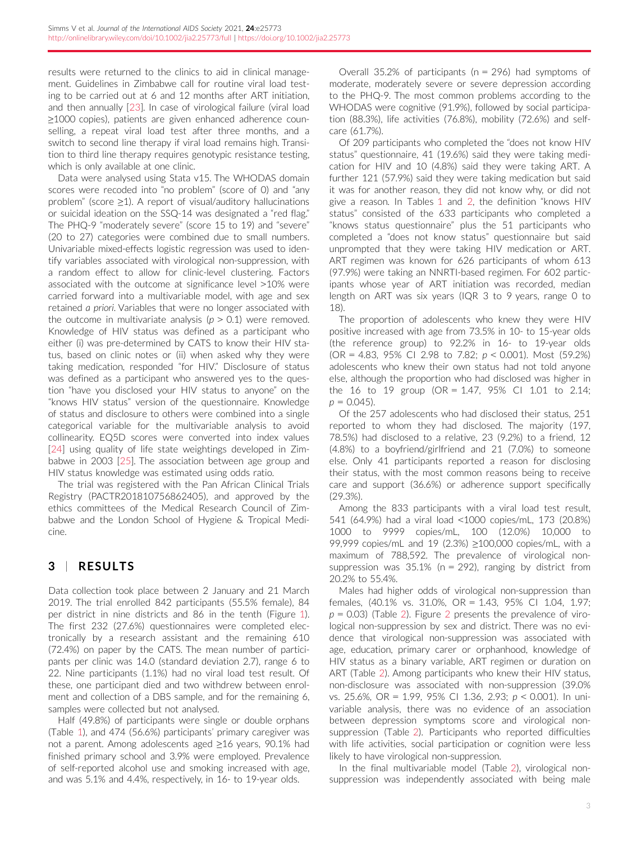results were returned to the clinics to aid in clinical management. Guidelines in Zimbabwe call for routine viral load testing to be carried out at 6 and 12 months after ART initiation, and then annually [\[23](#page-9-0)]. In case of virological failure (viral load ≥1000 copies), patients are given enhanced adherence counselling, a repeat viral load test after three months, and a switch to second line therapy if viral load remains high. Transition to third line therapy requires genotypic resistance testing, which is only available at one clinic.

Data were analysed using Stata v15. The WHODAS domain scores were recoded into "no problem" (score of 0) and "any problem" (score ≥1). A report of visual/auditory hallucinations or suicidal ideation on the SSQ-14 was designated a "red flag." The PHQ-9 "moderately severe" (score 15 to 19) and "severe" (20 to 27) categories were combined due to small numbers. Univariable mixed-effects logistic regression was used to identify variables associated with virological non-suppression, with a random effect to allow for clinic-level clustering. Factors associated with the outcome at significance level >10% were carried forward into a multivariable model, with age and sex retained a priori. Variables that were no longer associated with the outcome in multivariate analysis ( $p > 0.1$ ) were removed. Knowledge of HIV status was defined as a participant who either (i) was pre-determined by CATS to know their HIV status, based on clinic notes or (ii) when asked why they were taking medication, responded "for HIV." Disclosure of status was defined as a participant who answered yes to the question "have you disclosed your HIV status to anyone" on the "knows HIV status" version of the questionnaire. Knowledge of status and disclosure to others were combined into a single categorical variable for the multivariable analysis to avoid collinearity. EQ5D scores were converted into index values [\[24\]](#page-9-0) using quality of life state weightings developed in Zimbabwe in 2003 [\[25\]](#page-9-0). The association between age group and HIV status knowledge was estimated using odds ratio.

The trial was registered with the Pan African Clinical Trials Registry (PACTR201810756862405), and approved by the ethics committees of the Medical Research Council of Zimbabwe and the London School of Hygiene & Tropical Medicine.

# 3 | RESULTS

Data collection took place between 2 January and 21 March 2019. The trial enrolled 842 participants (55.5% female), 84 per district in nine districts and 86 in the tenth (Figure [1](#page-3-0)). The first 232 (27.6%) questionnaires were completed electronically by a research assistant and the remaining 610 (72.4%) on paper by the CATS. The mean number of participants per clinic was 14.0 (standard deviation 2.7), range 6 to 22. Nine participants (1.1%) had no viral load test result. Of these, one participant died and two withdrew between enrolment and collection of a DBS sample, and for the remaining 6, samples were collected but not analysed.

Half (49.8%) of participants were single or double orphans (Table [1\)](#page-4-0), and 474 (56.6%) participants' primary caregiver was not a parent. Among adolescents aged ≥16 years, 90.1% had finished primary school and 3.9% were employed. Prevalence of self-reported alcohol use and smoking increased with age, and was 5.1% and 4.4%, respectively, in 16- to 19-year olds.

Overall 35.2% of participants ( $n = 296$ ) had symptoms of moderate, moderately severe or severe depression according to the PHQ-9. The most common problems according to the WHODAS were cognitive (91.9%), followed by social participation (88.3%), life activities (76.8%), mobility (72.6%) and selfcare (61.7%).

Of 209 participants who completed the "does not know HIV status" questionnaire, 41 (19.6%) said they were taking medication for HIV and 10 (4.8%) said they were taking ART. A further 121 (57.9%) said they were taking medication but said it was for another reason, they did not know why, or did not give a reason. In Tables [1](#page-4-0) and [2](#page-6-0), the definition "knows HIV status" consisted of the 633 participants who completed a "knows status questionnaire" plus the 51 participants who completed a "does not know status" questionnaire but said unprompted that they were taking HIV medication or ART. ART regimen was known for 626 participants of whom 613 (97.9%) were taking an NNRTI-based regimen. For 602 participants whose year of ART initiation was recorded, median length on ART was six years (IQR 3 to 9 years, range 0 to 18).

The proportion of adolescents who knew they were HIV positive increased with age from 73.5% in 10- to 15-year olds (the reference group) to 92.2% in 16- to 19-year olds (OR = 4.83, 95% CI 2.98 to 7.82;  $p < 0.001$ ). Most (59.2%) adolescents who knew their own status had not told anyone else, although the proportion who had disclosed was higher in the 16 to 19 group (OR = 1.47, 95% CI 1.01 to 2.14;  $p = 0.045$ ).

Of the 257 adolescents who had disclosed their status, 251 reported to whom they had disclosed. The majority (197, 78.5%) had disclosed to a relative, 23 (9.2%) to a friend, 12 (4.8%) to a boyfriend/girlfriend and 21 (7.0%) to someone else. Only 41 participants reported a reason for disclosing their status, with the most common reasons being to receive care and support (36.6%) or adherence support specifically (29.3%).

Among the 833 participants with a viral load test result, 541 (64.9%) had a viral load <1000 copies/mL, 173 (20.8%) 1000 to 9999 copies/mL, 100 (12.0%) 10,000 to 99,999 copies/mL and 19 (2.3%) ≥100,000 copies/mL, with a maximum of 788,592. The prevalence of virological nonsuppression was  $35.1\%$  (n = 292), ranging by district from 20.2% to 55.4%.

Males had higher odds of virological non-suppression than females, (40.1% vs. 31.0%, OR = 1.43, 95% CI 1.04, 1.97;  $p = 0.03$ ) (Table [2\)](#page-6-0). Figure [2](#page-8-0) presents the prevalence of virological non-suppression by sex and district. There was no evidence that virological non-suppression was associated with age, education, primary carer or orphanhood, knowledge of HIV status as a binary variable, ART regimen or duration on ART (Table [2](#page-6-0)). Among participants who knew their HIV status, non-disclosure was associated with non-suppression (39.0% vs. 25.6%, OR = 1.99, 95% CI 1.36, 2.93; p < 0.001). In univariable analysis, there was no evidence of an association between depression symptoms score and virological nonsuppression (Table [2\)](#page-6-0). Participants who reported difficulties with life activities, social participation or cognition were less likely to have virological non-suppression.

In the final multivariable model (Table [2\)](#page-6-0), virological nonsuppression was independently associated with being male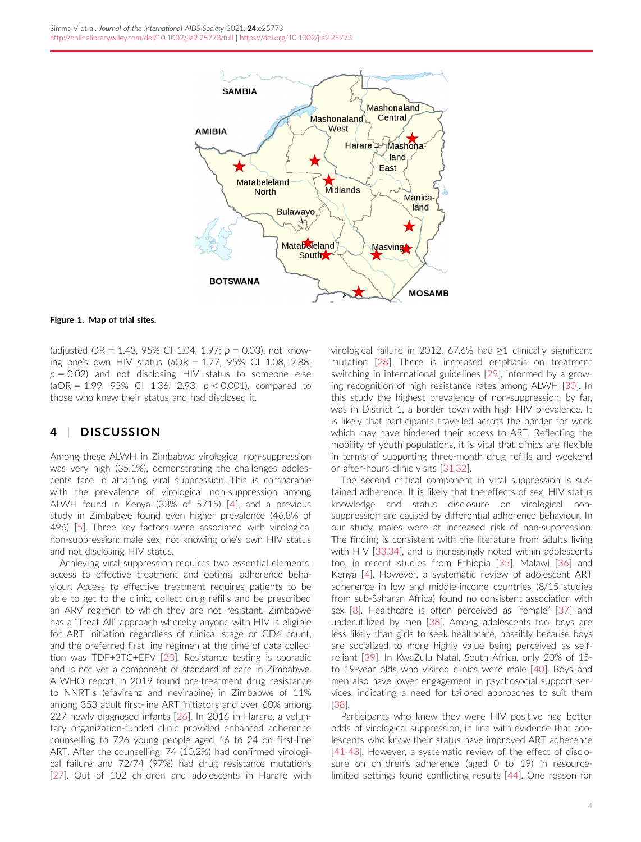<span id="page-3-0"></span>

#### Figure 1. Map of trial sites.

(adjusted OR = 1.43, 95% CI 1.04, 1.97;  $p = 0.03$ ), not knowing one's own HIV status (aOR = 1.77, 95% CI 1.08, 2.88;  $p = 0.02$ ) and not disclosing HIV status to someone else (aOR = 1.99, 95% CI 1.36, 2.93;  $p < 0.001$ ), compared to those who knew their status and had disclosed it.

### 4 | DISCUSSION

Among these ALWH in Zimbabwe virological non-suppression was very high (35.1%), demonstrating the challenges adolescents face in attaining viral suppression. This is comparable with the prevalence of virological non-suppression among ALWH found in Kenya (33% of 5715) [\[4\]](#page-9-0), and a previous study in Zimbabwe found even higher prevalence (46.8% of 496) [[5\]](#page-9-0). Three key factors were associated with virological non-suppression: male sex, not knowing one's own HIV status and not disclosing HIV status.

Achieving viral suppression requires two essential elements: access to effective treatment and optimal adherence behaviour. Access to effective treatment requires patients to be able to get to the clinic, collect drug refills and be prescribed an ARV regimen to which they are not resistant. Zimbabwe has a "Treat All" approach whereby anyone with HIV is eligible for ART initiation regardless of clinical stage or CD4 count, and the preferred first line regimen at the time of data collection was TDF+3TC+EFV [[23](#page-9-0)]. Resistance testing is sporadic and is not yet a component of standard of care in Zimbabwe. A WHO report in 2019 found pre-treatment drug resistance to NNRTIs (efavirenz and nevirapine) in Zimbabwe of 11% among 353 adult first-line ART initiators and over 60% among 227 newly diagnosed infants [\[26](#page-9-0)]. In 2016 in Harare, a voluntary organization-funded clinic provided enhanced adherence counselling to 726 young people aged 16 to 24 on first-line ART. After the counselling, 74 (10.2%) had confirmed virological failure and 72/74 (97%) had drug resistance mutations [\[27](#page-9-0)]. Out of 102 children and adolescents in Harare with virological failure in 2012, 67.6% had ≥1 clinically significant mutation [[28\]](#page-9-0). There is increased emphasis on treatment switching in international guidelines [\[29\]](#page-9-0), informed by a growing recognition of high resistance rates among ALWH [[30](#page-9-0)]. In this study the highest prevalence of non-suppression, by far, was in District 1, a border town with high HIV prevalence. It is likely that participants travelled across the border for work which may have hindered their access to ART. Reflecting the mobility of youth populations, it is vital that clinics are flexible in terms of supporting three-month drug refills and weekend or after-hours clinic visits [[31,32\]](#page-9-0).

The second critical component in viral suppression is sustained adherence. It is likely that the effects of sex, HIV status knowledge and status disclosure on virological nonsuppression are caused by differential adherence behaviour. In our study, males were at increased risk of non-suppression. The finding is consistent with the literature from adults living with HIV [[33,34\]](#page-9-0), and is increasingly noted within adolescents too, in recent studies from Ethiopia [[35\]](#page-9-0), Malawi [[36\]](#page-9-0) and Kenya [\[4\]](#page-9-0). However, a systematic review of adolescent ART adherence in low and middle-income countries (8/15 studies from sub-Saharan Africa) found no consistent association with sex [[8\]](#page-9-0). Healthcare is often perceived as "female" [[37](#page-9-0)] and underutilized by men [[38\]](#page-10-0). Among adolescents too, boys are less likely than girls to seek healthcare, possibly because boys are socialized to more highly value being perceived as selfreliant [[39\]](#page-10-0). In KwaZulu Natal, South Africa, only 20% of 15 to 19-year olds who visited clinics were male [[40\]](#page-10-0). Boys and men also have lower engagement in psychosocial support services, indicating a need for tailored approaches to suit them [\[38\]](#page-10-0).

Participants who knew they were HIV positive had better odds of virological suppression, in line with evidence that adolescents who know their status have improved ART adherence [\[41-43\]](#page-10-0). However, a systematic review of the effect of disclosure on children's adherence (aged 0 to 19) in resourcelimited settings found conflicting results [[44\]](#page-10-0). One reason for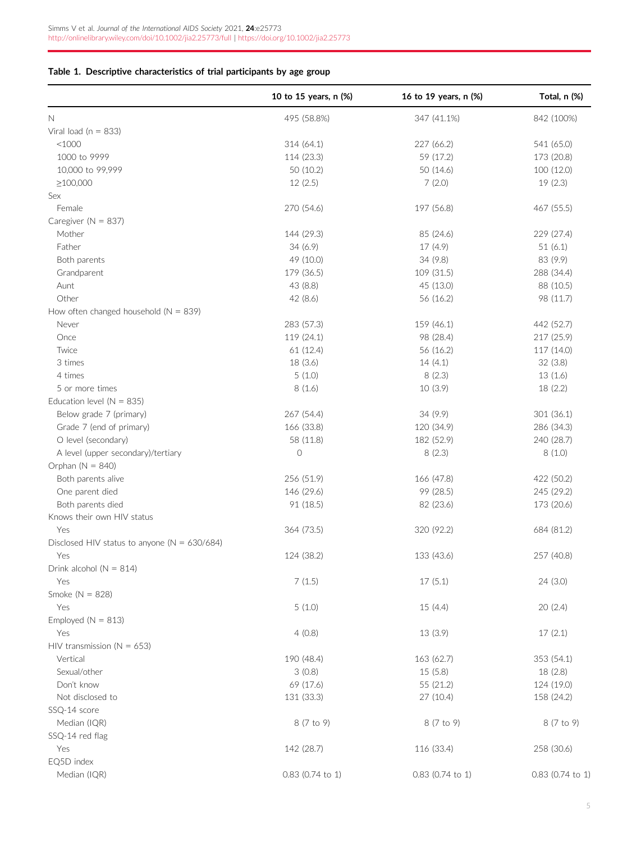### <span id="page-4-0"></span>Table 1. Descriptive characteristics of trial participants by age group

|                                                  | 10 to 15 years, n (%) | 16 to 19 years, n (%) | Total, n (%)       |
|--------------------------------------------------|-----------------------|-----------------------|--------------------|
| $\mathbb N$                                      | 495 (58.8%)           | 347 (41.1%)           | 842 (100%)         |
| Viral load ( $n = 833$ )                         |                       |                       |                    |
| $<$ 1000                                         | 314 (64.1)            | 227 (66.2)            | 541 (65.0)         |
| 1000 to 9999                                     | 114 (23.3)            | 59 (17.2)             | 173 (20.8)         |
| 10,000 to 99,999                                 | 50 (10.2)             | 50 (14.6)             | 100 (12.0)         |
| $\geq$ 100,000                                   | 12(2.5)               | 7(2.0)                | 19(2.3)            |
| Sex                                              |                       |                       |                    |
| Female                                           | 270 (54.6)            | 197 (56.8)            | 467 (55.5)         |
| Caregiver ( $N = 837$ )                          |                       |                       |                    |
| Mother                                           | 144 (29.3)            | 85 (24.6)             | 229 (27.4)         |
| Father                                           | 34(6.9)               | 17 (4.9)              | 51(6.1)            |
| Both parents                                     | 49 (10.0)             | 34(9.8)               | 83 (9.9)           |
| Grandparent                                      | 179 (36.5)            | 109 (31.5)            | 288 (34.4)         |
| Aunt                                             | 43 (8.8)              | 45 (13.0)             | 88 (10.5)          |
| Other                                            | 42(8.6)               | 56 (16.2)             | 98 (11.7)          |
| How often changed household ( $N = 839$ )        |                       |                       |                    |
| Never                                            | 283 (57.3)            | 159 (46.1)            | 442 (52.7)         |
| Once                                             | 119 (24.1)            | 98 (28.4)             | 217 (25.9)         |
| Twice                                            | 61(12.4)              | 56 (16.2)             | 117 (14.0)         |
| 3 times                                          | 18(3.6)               | 14(4.1)               | 32(3.8)            |
| 4 times                                          | 5(1.0)                | 8(2.3)                | 13(1.6)            |
| 5 or more times                                  | 8(1.6)                | 10(3.9)               | 18 (2.2)           |
| Education level ( $N = 835$ )                    |                       |                       |                    |
| Below grade 7 (primary)                          | 267 (54.4)            | 34(9.9)               | 301 (36.1)         |
| Grade 7 (end of primary)                         | 166 (33.8)            | 120 (34.9)            | 286 (34.3)         |
| O level (secondary)                              | 58 (11.8)             | 182 (52.9)            | 240 (28.7)         |
| A level (upper secondary)/tertiary               | $\circ$               | 8(2.3)                | 8(1.0)             |
| Orphan ( $N = 840$ )                             |                       |                       |                    |
| Both parents alive                               | 256 (51.9)            | 166 (47.8)            | 422 (50.2)         |
| One parent died                                  | 146 (29.6)            | 99 (28.5)             | 245 (29.2)         |
| Both parents died                                | 91 (18.5)             | 82 (23.6)             | 173 (20.6)         |
| Knows their own HIV status                       |                       |                       |                    |
| Yes                                              | 364 (73.5)            | 320 (92.2)            | 684 (81.2)         |
| Disclosed HIV status to anyone ( $N = 630/684$ ) |                       |                       |                    |
| Yes                                              | 124 (38.2)            | 133 (43.6)            | 257 (40.8)         |
| Drink alcohol ( $N = 814$ )                      |                       |                       |                    |
| Yes                                              | 7(1.5)                | 17(5.1)               | 24(3.0)            |
| Smoke $(N = 828)$                                |                       |                       |                    |
| Yes                                              | 5(1.0)                | 15(4.4)               | 20(2.4)            |
| Employed ( $N = 813$ )                           |                       |                       |                    |
| Yes                                              | 4(0.8)                | 13 (3.9)              | 17(2.1)            |
| HIV transmission ( $N = 653$ )                   |                       |                       |                    |
| Vertical                                         | 190 (48.4)            | 163 (62.7)            | 353 (54.1)         |
| Sexual/other                                     | 3(0.8)                | 15(5.8)               | 18 (2.8)           |
| Don't know                                       | 69 (17.6)             | 55 (21.2)             | 124 (19.0)         |
| Not disclosed to                                 | 131 (33.3)            | 27 (10.4)             | 158 (24.2)         |
| SSQ-14 score                                     |                       |                       |                    |
| Median (IQR)                                     | 8 (7 to 9)            | 8 (7 to 9)            | 8 (7 to 9)         |
| SSQ-14 red flag                                  |                       |                       |                    |
| Yes                                              | 142 (28.7)            | 116 (33.4)            | 258 (30.6)         |
| EQ5D index                                       |                       |                       |                    |
| Median (IQR)                                     | $0.83$ (0.74 to 1)    | $0.83$ (0.74 to 1)    | $0.83$ (0.74 to 1) |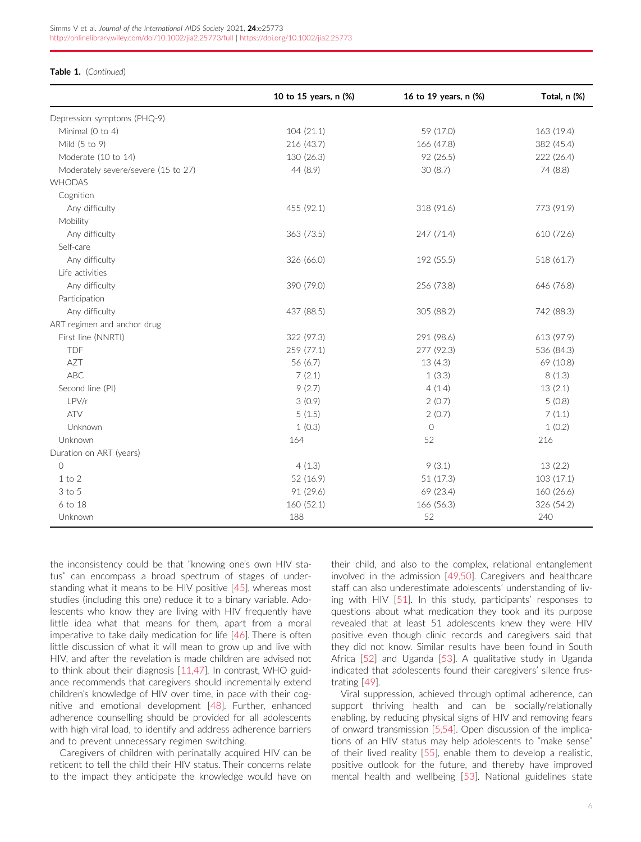#### Table 1. (Continued)

|                                     | 10 to 15 years, n (%) | 16 to 19 years, n (%) | Total, n (%) |
|-------------------------------------|-----------------------|-----------------------|--------------|
| Depression symptoms (PHQ-9)         |                       |                       |              |
| Minimal (0 to 4)                    | 104 (21.1)            | 59 (17.0)             | 163 (19.4)   |
| Mild (5 to 9)                       | 216 (43.7)            | 166 (47.8)            | 382 (45.4)   |
| Moderate (10 to 14)                 | 130 (26.3)            | 92 (26.5)             | 222 (26.4)   |
| Moderately severe/severe (15 to 27) | 44 (8.9)              | 30(8.7)               | 74 (8.8)     |
| WHODAS                              |                       |                       |              |
| Cognition                           |                       |                       |              |
| Any difficulty                      | 455 (92.1)            | 318 (91.6)            | 773 (91.9)   |
| Mobility                            |                       |                       |              |
| Any difficulty                      | 363 (73.5)            | 247 (71.4)            | 610 (72.6)   |
| Self-care                           |                       |                       |              |
| Any difficulty                      | 326 (66.0)            | 192 (55.5)            | 518 (61.7)   |
| Life activities                     |                       |                       |              |
| Any difficulty                      | 390 (79.0)            | 256 (73.8)            | 646 (76.8)   |
| Participation                       |                       |                       |              |
| Any difficulty                      | 437 (88.5)            | 305 (88.2)            | 742 (88.3)   |
| ART regimen and anchor drug         |                       |                       |              |
| First line (NNRTI)                  | 322 (97.3)            | 291 (98.6)            | 613 (97.9)   |
| <b>TDF</b>                          | 259 (77.1)            | 277 (92.3)            | 536 (84.3)   |
| AZT                                 | 56 (6.7)              | 13(4.3)               | 69 (10.8)    |
| <b>ABC</b>                          | 7(2.1)                | 1(3.3)                | 8(1.3)       |
| Second line (PI)                    | 9(2.7)                | 4(1.4)                | 13(2.1)      |
| LPV/r                               | 3(0.9)                | 2(0.7)                | 5(0.8)       |
| <b>ATV</b>                          | 5(1.5)                | 2(0.7)                | 7(1.1)       |
| Unknown                             | 1(0.3)                | $\circ$               | 1(0.2)       |
| Unknown                             | 164                   | 52                    | 216          |
| Duration on ART (years)             |                       |                       |              |
| $\bigcirc$                          | 4(1.3)                | 9(3.1)                | 13(2.2)      |
| $1$ to $2$                          | 52 (16.9)             | 51 (17.3)             | 103(17.1)    |
| 3 to 5                              | 91 (29.6)             | 69 (23.4)             | 160 (26.6)   |
| 6 to 18                             | 160 (52.1)            | 166 (56.3)            | 326 (54.2)   |
| Unknown                             | 188                   | 52                    | 240          |

the inconsistency could be that "knowing one's own HIV status" can encompass a broad spectrum of stages of understanding what it means to be HIV positive [\[45\]](#page-10-0), whereas most studies (including this one) reduce it to a binary variable. Adolescents who know they are living with HIV frequently have little idea what that means for them, apart from a moral imperative to take daily medication for life [\[46\]](#page-10-0). There is often little discussion of what it will mean to grow up and live with HIV, and after the revelation is made children are advised not to think about their diagnosis [[11,47\]](#page-9-0). In contrast, WHO guidance recommends that caregivers should incrementally extend children's knowledge of HIV over time, in pace with their cognitive and emotional development [\[48\]](#page-10-0). Further, enhanced adherence counselling should be provided for all adolescents with high viral load, to identify and address adherence barriers and to prevent unnecessary regimen switching.

Caregivers of children with perinatally acquired HIV can be reticent to tell the child their HIV status. Their concerns relate to the impact they anticipate the knowledge would have on

their child, and also to the complex, relational entanglement involved in the admission [[49,50](#page-10-0)]. Caregivers and healthcare staff can also underestimate adolescents' understanding of living with HIV [[51\]](#page-10-0). In this study, participants' responses to questions about what medication they took and its purpose revealed that at least 51 adolescents knew they were HIV positive even though clinic records and caregivers said that they did not know. Similar results have been found in South Africa [\[52\]](#page-10-0) and Uganda [\[53](#page-10-0)]. A qualitative study in Uganda indicated that adolescents found their caregivers' silence frustrating [[49\]](#page-10-0).

Viral suppression, achieved through optimal adherence, can support thriving health and can be socially/relationally enabling, by reducing physical signs of HIV and removing fears of onward transmission [\[5,54](#page-9-0)]. Open discussion of the implications of an HIV status may help adolescents to "make sense" of their lived reality [[55](#page-10-0)], enable them to develop a realistic, positive outlook for the future, and thereby have improved mental health and wellbeing [[53](#page-10-0)]. National guidelines state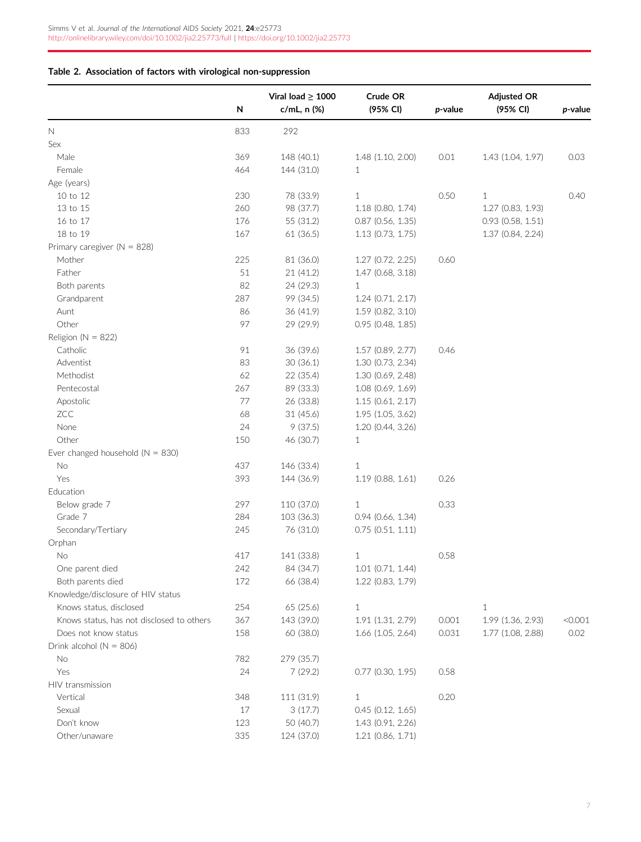### <span id="page-6-0"></span>Table 2. Association of factors with virological non-suppression

|                                           | N   | Viral load $\geq 1000$<br>c/mL, n (%) | Crude OR<br>(95% CI)  | $p$ -value | <b>Adjusted OR</b><br>(95% CI) | p-value |
|-------------------------------------------|-----|---------------------------------------|-----------------------|------------|--------------------------------|---------|
| N                                         | 833 | 292                                   |                       |            |                                |         |
| Sex                                       |     |                                       |                       |            |                                |         |
| Male                                      | 369 | 148 (40.1)                            | 1.48 (1.10, 2.00)     | 0.01       | 1.43 (1.04, 1.97)              | 0.03    |
| Female                                    | 464 | 144 (31.0)                            | $\mathbf{1}$          |            |                                |         |
| Age (years)                               |     |                                       |                       |            |                                |         |
| 10 to 12                                  | 230 | 78 (33.9)                             | $\mathbf{1}$          | 0.50       | $\mathbf{1}$                   | 0.40    |
| 13 to 15                                  | 260 | 98 (37.7)                             | 1.18 (0.80, 1.74)     |            | 1.27 (0.83, 1.93)              |         |
| 16 to 17                                  | 176 | 55 (31.2)                             | $0.87$ (0.56, 1.35)   |            | $0.93$ $(0.58, 1.51)$          |         |
| 18 to 19                                  | 167 | 61 (36.5)                             | 1.13 (0.73, 1.75)     |            | 1.37 (0.84, 2.24)              |         |
| Primary caregiver ( $N = 828$ )           |     |                                       |                       |            |                                |         |
| Mother                                    | 225 | 81 (36.0)                             | 1.27 (0.72, 2.25)     | 0.60       |                                |         |
| Father                                    | 51  | 21 (41.2)                             | 1.47 (0.68, 3.18)     |            |                                |         |
| Both parents                              | 82  | 24 (29.3)                             | $\mathbf{1}$          |            |                                |         |
| Grandparent                               | 287 | 99 (34.5)                             | 1.24 (0.71, 2.17)     |            |                                |         |
| Aunt                                      | 86  | 36 (41.9)                             | 1.59 (0.82, 3.10)     |            |                                |         |
| Other                                     | 97  | 29 (29.9)                             | $0.95$ (0.48, 1.85)   |            |                                |         |
| Religion ( $N = 822$ )                    |     |                                       |                       |            |                                |         |
| Catholic                                  | 91  | 36 (39.6)                             | 1.57 (0.89, 2.77)     | 0.46       |                                |         |
| Adventist                                 | 83  | 30(36.1)                              | 1.30 (0.73, 2.34)     |            |                                |         |
| Methodist                                 | 62  | 22 (35.4)                             | 1.30 (0.69, 2.48)     |            |                                |         |
| Pentecostal                               | 267 | 89 (33.3)                             | 1.08 (0.69, 1.69)     |            |                                |         |
| Apostolic                                 | 77  | 26 (33.8)                             | 1.15 (0.61, 2.17)     |            |                                |         |
| ZCC                                       | 68  | 31 (45.6)                             | 1.95 (1.05, 3.62)     |            |                                |         |
| None                                      | 24  | 9(37.5)                               | 1.20 (0.44, 3.26)     |            |                                |         |
| Other                                     | 150 | 46 (30.7)                             | $\mathbf{1}$          |            |                                |         |
| Ever changed household ( $N = 830$ )      |     |                                       |                       |            |                                |         |
| No                                        | 437 | 146 (33.4)                            | $\mathbf{1}$          |            |                                |         |
| Yes                                       | 393 | 144 (36.9)                            | 1.19 (0.88, 1.61)     | 0.26       |                                |         |
| Education                                 |     |                                       |                       |            |                                |         |
| Below grade 7                             | 297 | 110 (37.0)                            | $\mathbf{1}$          | 0.33       |                                |         |
| Grade 7                                   | 284 | 103 (36.3)                            | 0.94 (0.66, 1.34)     |            |                                |         |
| Secondary/Tertiary                        | 245 | 76 (31.0)                             | $0.75$ $(0.51, 1.11)$ |            |                                |         |
| Orphan                                    |     |                                       |                       |            |                                |         |
| No                                        | 417 | 141 (33.8)                            | $\mathbf{1}$          | 0.58       |                                |         |
| One parent died                           | 242 | 84 (34.7)                             | $1.01$ (0.71, 1.44)   |            |                                |         |
| Both parents died                         | 172 | 66 (38.4)                             | 1.22 (0.83, 1.79)     |            |                                |         |
| Knowledge/disclosure of HIV status        |     |                                       |                       |            |                                |         |
| Knows status, disclosed                   | 254 | 65 (25.6)                             | $\mathbf{1}$          |            | $\mathbf{1}$                   |         |
| Knows status, has not disclosed to others | 367 | 143 (39.0)                            | 1.91 (1.31, 2.79)     | 0.001      | 1.99 (1.36, 2.93)              | < 0.001 |
| Does not know status                      | 158 | 60 (38.0)                             | 1.66 (1.05, 2.64)     | 0.031      | 1.77 (1.08, 2.88)              | 0.02    |
| Drink alcohol ( $N = 806$ )               |     |                                       |                       |            |                                |         |
| No                                        | 782 | 279 (35.7)                            |                       |            |                                |         |
| Yes                                       | 24  | 7(29.2)                               | $0.77$ $(0.30, 1.95)$ | 0.58       |                                |         |
| HIV transmission                          |     |                                       |                       |            |                                |         |
| Vertical                                  | 348 | 111 (31.9)                            | $\mathbf{1}$          | 0.20       |                                |         |
| Sexual                                    | 17  | 3(17.7)                               | $0.45$ $(0.12, 1.65)$ |            |                                |         |
| Don't know                                | 123 | 50 (40.7)                             | 1.43 (0.91, 2.26)     |            |                                |         |
| Other/unaware                             | 335 | 124 (37.0)                            | 1.21 (0.86, 1.71)     |            |                                |         |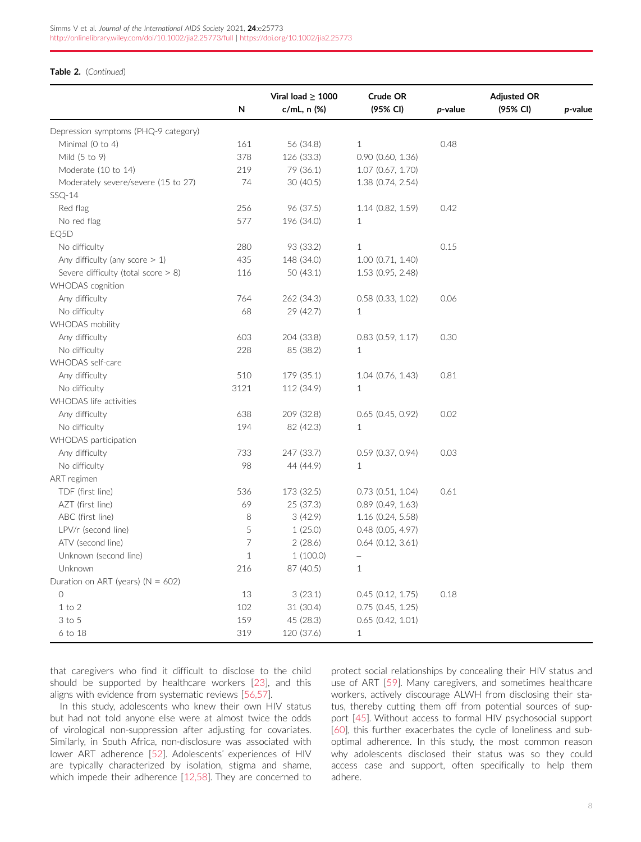#### Table 2. (Continued)

|                                        | N       | Viral load $\geq 1000$<br>$c/mL, n$ (%) | Crude OR<br>(95% CI)  | p-value | <b>Adjusted OR</b><br>(95% CI) | p-value |
|----------------------------------------|---------|-----------------------------------------|-----------------------|---------|--------------------------------|---------|
| Depression symptoms (PHQ-9 category)   |         |                                         |                       |         |                                |         |
| Minimal (0 to 4)                       | 161     | 56 (34.8)                               | $\mathbf{1}$          | 0.48    |                                |         |
| Mild (5 to 9)                          | 378     | 126 (33.3)                              | $0.90$ $(0.60, 1.36)$ |         |                                |         |
| Moderate (10 to 14)                    | 219     | 79 (36.1)                               | $1.07$ (0.67, 1.70)   |         |                                |         |
| Moderately severe/severe (15 to 27)    | 74      | 30 (40.5)                               | 1.38 (0.74, 2.54)     |         |                                |         |
| $SSQ-14$                               |         |                                         |                       |         |                                |         |
| Red flag                               | 256     | 96 (37.5)                               | 1.14(0.82, 1.59)      | 0.42    |                                |         |
| No red flag                            | 577     | 196 (34.0)                              | $\mathbf{1}$          |         |                                |         |
| EQ5D                                   |         |                                         |                       |         |                                |         |
| No difficulty                          | 280     | 93 (33.2)                               | $\mathbf{1}$          | 0.15    |                                |         |
| Any difficulty (any score $> 1$ )      | 435     | 148 (34.0)                              | $1.00$ (0.71, 1.40)   |         |                                |         |
| Severe difficulty (total score $> 8$ ) | 116     | 50 (43.1)                               | 1.53 (0.95, 2.48)     |         |                                |         |
| WHODAS cognition                       |         |                                         |                       |         |                                |         |
| Any difficulty                         | 764     | 262 (34.3)                              | $0.58$ $(0.33, 1.02)$ | 0.06    |                                |         |
| No difficulty                          | 68      | 29 (42.7)                               | 1                     |         |                                |         |
| <b>WHODAS</b> mobility                 |         |                                         |                       |         |                                |         |
| Any difficulty                         | 603     | 204 (33.8)                              | $0.83$ $(0.59, 1.17)$ | 0.30    |                                |         |
| No difficulty                          | 228     | 85 (38.2)                               | 1                     |         |                                |         |
| WHODAS self-care                       |         |                                         |                       |         |                                |         |
| Any difficulty                         | 510     | 179 (35.1)                              | $1.04$ (0.76, 1.43)   | 0.81    |                                |         |
| No difficulty                          | 3121    | 112 (34.9)                              | $\mathbf{1}$          |         |                                |         |
| WHODAS life activities                 |         |                                         |                       |         |                                |         |
| Any difficulty                         | 638     | 209 (32.8)                              | $0.65$ (0.45, 0.92)   | 0.02    |                                |         |
| No difficulty                          | 194     | 82 (42.3)                               | $\mathbf{1}$          |         |                                |         |
| WHODAS participation                   |         |                                         |                       |         |                                |         |
| Any difficulty                         | 733     | 247 (33.7)                              | $0.59$ (0.37, 0.94)   | 0.03    |                                |         |
| No difficulty                          | 98      | 44 (44.9)                               | $\mathbf 1$           |         |                                |         |
| ART regimen                            |         |                                         |                       |         |                                |         |
| TDF (first line)                       | 536     | 173 (32.5)                              | 0.73(0.51, 1.04)      | 0.61    |                                |         |
| AZT (first line)                       | 69      | 25 (37.3)                               | $0.89$ (0.49, 1.63)   |         |                                |         |
| ABC (first line)                       | $\,8\,$ | 3(42.9)                                 | 1.16(0.24, 5.58)      |         |                                |         |
| LPV/r (second line)                    | 5       | 1(25.0)                                 | $0.48$ (0.05, 4.97)   |         |                                |         |
| ATV (second line)                      | 7       | 2(28.6)                                 | $0.64$ $(0.12, 3.61)$ |         |                                |         |
| Unknown (second line)                  | $\,1\,$ | 1(100.0)                                | $\qquad \qquad -$     |         |                                |         |
| Unknown                                | 216     | 87 (40.5)                               | $\mathbf{1}$          |         |                                |         |
| Duration on ART (years) ( $N = 602$ )  |         |                                         |                       |         |                                |         |
| $\circlearrowright$                    | 13      | 3(23.1)                                 | 0.45(0.12, 1.75)      | 0.18    |                                |         |
| $1$ to $2$                             | 102     | 31 (30.4)                               | 0.75(0.45, 1.25)      |         |                                |         |
| 3 to 5                                 | 159     | 45 (28.3)                               | $0.65$ $(0.42, 1.01)$ |         |                                |         |
| 6 to 18                                | 319     | 120 (37.6)                              | 1                     |         |                                |         |

that caregivers who find it difficult to disclose to the child should be supported by healthcare workers [[23](#page-9-0)], and this aligns with evidence from systematic reviews [[56,57\]](#page-10-0).

In this study, adolescents who knew their own HIV status but had not told anyone else were at almost twice the odds of virological non-suppression after adjusting for covariates. Similarly, in South Africa, non-disclosure was associated with lower ART adherence [[52](#page-10-0)]. Adolescents' experiences of HIV are typically characterized by isolation, stigma and shame, which impede their adherence [[12,58\]](#page-9-0). They are concerned to

protect social relationships by concealing their HIV status and use of ART [\[59](#page-10-0)]. Many caregivers, and sometimes healthcare workers, actively discourage ALWH from disclosing their status, thereby cutting them off from potential sources of support [\[45](#page-10-0)]. Without access to formal HIV psychosocial support [\[60\]](#page-10-0), this further exacerbates the cycle of loneliness and suboptimal adherence. In this study, the most common reason why adolescents disclosed their status was so they could access case and support, often specifically to help them adhere.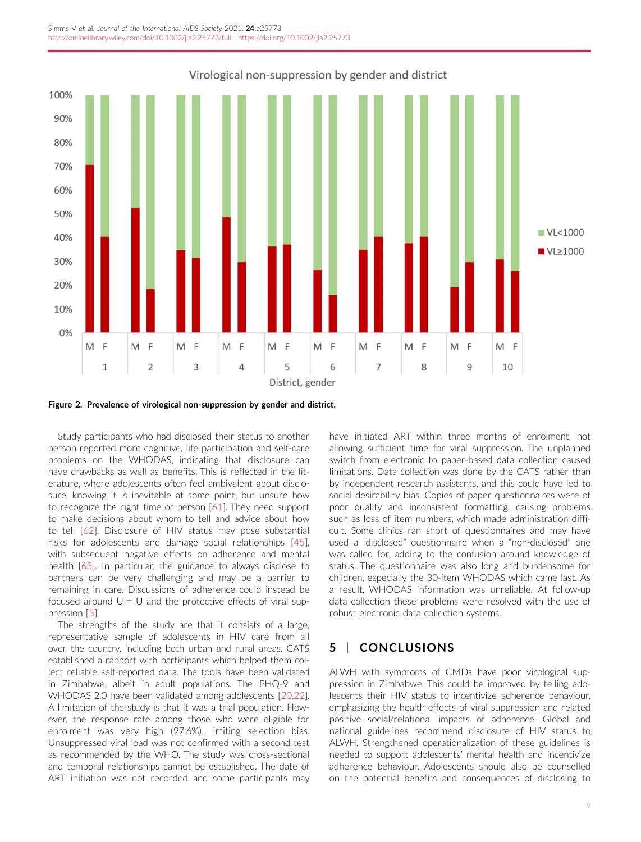<span id="page-8-0"></span>

Figure 2. Prevalence of virological non-suppression by gender and district.

Study participants who had disclosed their status to another person reported more cognitive, life participation and self-care problems on the WHODAS, indicating that disclosure can have drawbacks as well as benefits. This is reflected in the literature, where adolescents often feel ambivalent about disclosure, knowing it is inevitable at some point, but unsure how to recognize the right time or person [[61](#page-10-0)]. They need support to make decisions about whom to tell and advice about how to tell [\[62\]](#page-10-0). Disclosure of HIV status may pose substantial risks for adolescents and damage social relationships [[45](#page-10-0)], with subsequent negative effects on adherence and mental health [\[63\]](#page-10-0). In particular, the guidance to always disclose to partners can be very challenging and may be a barrier to remaining in care. Discussions of adherence could instead be focused around  $U = U$  and the protective effects of viral suppression [\[5\]](#page-9-0).

The strengths of the study are that it consists of a large, representative sample of adolescents in HIV care from all over the country, including both urban and rural areas. CATS established a rapport with participants which helped them collect reliable self-reported data. The tools have been validated in Zimbabwe, albeit in adult populations. The PHQ-9 and WHODAS 2.0 have been validated among adolescents [\[20,22](#page-9-0)]. A limitation of the study is that it was a trial population. However, the response rate among those who were eligible for enrolment was very high (97.6%), limiting selection bias. Unsuppressed viral load was not confirmed with a second test as recommended by the WHO. The study was cross-sectional and temporal relationships cannot be established. The date of ART initiation was not recorded and some participants may have initiated ART within three months of enrolment, not allowing sufficient time for viral suppression. The unplanned switch from electronic to paper-based data collection caused limitations. Data collection was done by the CATS rather than by independent research assistants, and this could have led to social desirability bias. Copies of paper questionnaires were of poor quality and inconsistent formatting, causing problems such as loss of item numbers, which made administration difficult. Some clinics ran short of questionnaires and may have used a "disclosed" questionnaire when a "non-disclosed" one was called for, adding to the confusion around knowledge of status. The questionnaire was also long and burdensome for children, especially the 30-item WHODAS which came last. As a result, WHODAS information was unreliable. At follow-up data collection these problems were resolved with the use of robust electronic data collection systems.

## 5 | CONCLUSIONS

ALWH with symptoms of CMDs have poor virological suppression in Zimbabwe. This could be improved by telling adolescents their HIV status to incentivize adherence behaviour, emphasizing the health effects of viral suppression and related positive social/relational impacts of adherence. Global and national guidelines recommend disclosure of HIV status to ALWH. Strengthened operationalization of these guidelines is needed to support adolescents' mental health and incentivize adherence behaviour. Adolescents should also be counselled on the potential benefits and consequences of disclosing to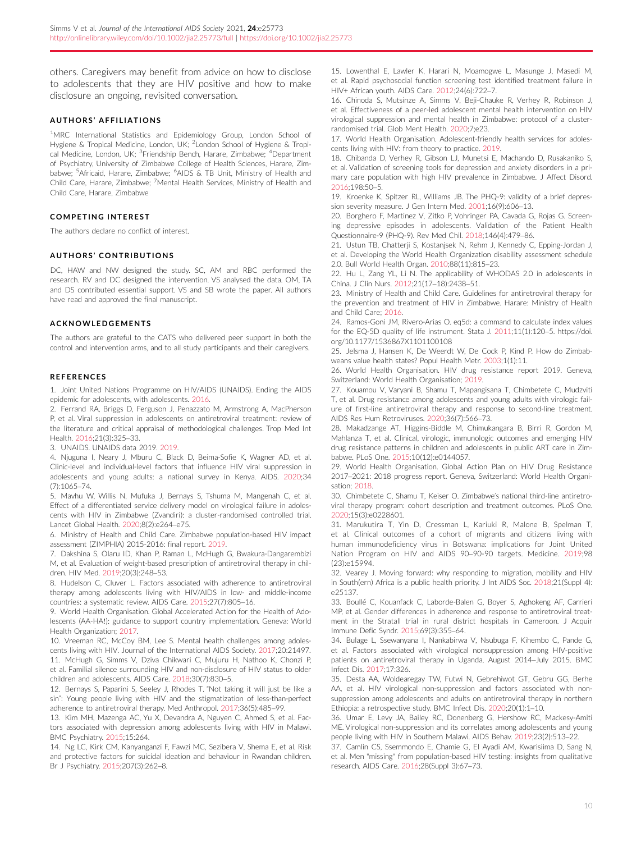<span id="page-9-0"></span>others. Caregivers may benefit from advice on how to disclose to adolescents that they are HIV positive and how to make disclosure an ongoing, revisited conversation.

#### AUTHORS ' AFFILIATIONS

<sup>1</sup>MRC International Statistics and Epidemiology Group, London School of Hygiene & Tropical Medicine, London, UK; <sup>2</sup>London School of Hygiene & Tropical Medicine, London, UK; <sup>3</sup>Friendship Bench, Harare, Zimbabwe; <sup>4</sup>Department of Psychiatry, University of Zimbabwe College of Health Sciences, Harare, Zimbabwe; <sup>5</sup>Africaid, Harare, Zimbabwe; <sup>6</sup>AIDS & TB Unit, Ministry of Health and Child Care, Harare, Zimbabwe; <sup>7</sup>Mental Health Services, Ministry of Health and Child Care, Harare, Zimbabwe

#### COMPETING INTEREST

The authors declare no conflict of interest.

#### **AUTHORS' CONTRIBUTIONS**

DC, HAW and NW designed the study. SC, AM and RBC performed the research. RV and DC designed the intervention. VS analysed the data. OM, TA and DS contributed essential support. VS and SB wrote the paper. All authors have read and approved the final manuscript.

#### ACKNOWLEDGEMENTS

The authors are grateful to the CATS who delivered peer support in both the control and intervention arms, and to all study participants and their caregivers.

#### **REFERENCES**

1. Joint United Nations Programme on HIV/AIDS (UNAIDS). Ending the AIDS epidemic for adolescents, with adolescents. 2016.

2. Ferrand RA, Briggs D, Ferguson J, Penazzato M, Armstrong A, MacPherson P, et al. Viral suppression in adolescents on antiretroviral treatment: review of the literature and critical appraisal of methodological challenges. Trop Med Int Health. 2016;21(3):325–33.

3. UNAIDS. UNAIDS data 2019. 2019.

4. Njuguna I, Neary J, Mburu C, Black D, Beima-Sofie K, Wagner AD, et al. Clinic-level and individual-level factors that influence HIV viral suppression in adolescents and young adults: a national survey in Kenya. AIDS. 2020;34 (7):1065–74.

5. Mavhu W, Willis N, Mufuka J, Bernays S, Tshuma M, Mangenah C, et al. Effect of a differentiated service delivery model on virological failure in adolescents with HIV in Zimbabwe (Zvandiri): a cluster-randomised controlled trial. Lancet Global Health. 2020;8(2):e264–e75.

6. Ministry of Health and Child Care. Zimbabwe population-based HIV impact assessment (ZIMPHIA) 2015-2016: final report. 2019.

7. Dakshina S, Olaru ID, Khan P, Raman L, McHugh G, Bwakura-Dangarembizi M, et al. Evaluation of weight-based prescription of antiretroviral therapy in children. HIV Med. 2019;20(3):248–53.

8. Hudelson C, Cluver L. Factors associated with adherence to antiretroviral therapy among adolescents living with HIV/AIDS in low- and middle-income countries: a systematic review. AIDS Care. 2015;27(7):805–16.

9. World Health Organisation. Global Accelerated Action for the Health of Adolescents (AA-HA!): guidance to support country implementation. Geneva: World Health Organization; 2017.

10. Vreeman RC, McCoy BM, Lee S. Mental health challenges among adolescents living with HIV. Journal of the International AIDS Society. 2017;20:21497. 11. McHugh G, Simms V, Dziva Chikwari C, Mujuru H, Nathoo K, Chonzi P, et al. Familial silence surrounding HIV and non-disclosure of HIV status to older children and adolescents. AIDS Care. 2018;30(7):830–5.

12. Bernays S, Paparini S, Seeley J, Rhodes T. "Not taking it will just be like a sin": Young people living with HIV and the stigmatization of less-than-perfect adherence to antiretroviral therapy. Med Anthropol. 2017;36(5):485–99.

13. Kim MH, Mazenga AC, Yu X, Devandra A, Nguyen C, Ahmed S, et al. Factors associated with depression among adolescents living with HIV in Malawi. BMC Psychiatry. 2015;15:264.

14. Ng LC, Kirk CM, Kanyanganzi F, Fawzi MC, Sezibera V, Shema E, et al. Risk and protective factors for suicidal ideation and behaviour in Rwandan children. Br J Psychiatry. 2015;207(3):262–8.

15. Lowenthal E, Lawler K, Harari N, Moamogwe L, Masunge J, Masedi M, et al. Rapid psychosocial function screening test identified treatment failure in HIV+ African youth. AIDS Care. 2012;24(6):722–7.

16. Chinoda S, Mutsinze A, Simms V, Beji-Chauke R, Verhey R, Robinson J, et al. Effectiveness of a peer-led adolescent mental health intervention on HIV virological suppression and mental health in Zimbabwe: protocol of a clusterrandomised trial. Glob Ment Health. 2020;7;e23.

17. World Health Organisation. Adolescent-friendly health services for adolescents living with HIV: from theory to practice. 2019.

18. Chibanda D, Verhey R, Gibson LJ, Munetsi E, Machando D, Rusakaniko S, et al. Validation of screening tools for depression and anxiety disorders in a primary care population with high HIV prevalence in Zimbabwe. J Affect Disord. 2016;198:50–5.

19. Kroenke K, Spitzer RL, Williams JB. The PHQ-9: validity of a brief depression severity measure. J Gen Intern Med. 2001;16(9):606–13.

20. Borghero F, Martinez V, Zitko P, Vohringer PA, Cavada G, Rojas G. Screening depressive episodes in adolescents. Validation of the Patient Health Questionnaire-9 (PHQ-9). Rev Med Chil. 2018;146(4):479–86.

21. Ustun TB, Chatterji S, Kostanjsek N, Rehm J, Kennedy C, Epping-Jordan J, et al. Developing the World Health Organization disability assessment schedule 2.0. Bull World Health Organ. 2010;88(11):815–23.

22. Hu L, Zang YL, Li N. The applicability of WHODAS 2.0 in adolescents in China. J Clin Nurs. 2012;21(17–18):2438–51.

23. Ministry of Health and Child Care. Guidelines for antiretroviral therapy for the prevention and treatment of HIV in Zimbabwe. Harare: Ministry of Health and Child Care; 2016.

24. Ramos-Goni JM, Rivero-Arias O. eq5d: a command to calculate index values for the EQ-5D quality of life instrument. Stata J. 2011;11(1):120–5. [https://doi.](https://doi.org/10.1177/1536867X1101100108) [org/10.1177/1536867X1101100108](https://doi.org/10.1177/1536867X1101100108)

25. Jelsma J, Hansen K, De Weerdt W, De Cock P, Kind P. How do Zimbabweans value health states? Popul Health Metr. 2003;1(1):11.

26. World Health Organisation. HIV drug resistance report 2019. Geneva, Switzerland: World Health Organisation; 2019.

27. Kouamou V, Varyani B, Shamu T, Mapangisana T, Chimbetete C, Mudzviti T, et al. Drug resistance among adolescents and young adults with virologic failure of first-line antiretroviral therapy and response to second-line treatment. AIDS Res Hum Retroviruses. 2020;36(7):566–73.

28. Makadzange AT, Higgins-Biddle M, Chimukangara B, Birri R, Gordon M, Mahlanza T, et al. Clinical, virologic, immunologic outcomes and emerging HIV drug resistance patterns in children and adolescents in public ART care in Zimbabwe. PLoS One. 2015;10(12):e0144057.

29. World Health Organisation. Global Action Plan on HIV Drug Resistance 2017–2021: 2018 progress report. Geneva, Switzerland: World Health Organisation; 2018.

30. Chimbetete C, Shamu T, Keiser O. Zimbabwe's national third-line antiretroviral therapy program: cohort description and treatment outcomes. PLoS One. 2020;15(3):e0228601.

31. Marukutira T, Yin D, Cressman L, Kariuki R, Malone B, Spelman T, et al. Clinical outcomes of a cohort of migrants and citizens living with human immunodeficiency virus in Botswana: implications for Joint United Nation Program on HIV and AIDS 90–90-90 targets. Medicine. 2019;98 (23):e15994.

32. Vearey J. Moving forward: why responding to migration, mobility and HIV in South(ern) Africa is a public health priority. J Int AIDS Soc. 2018;21(Suppl 4): e25137.

33. Boullé C, Kouanfack C, Laborde-Balen G, Boyer S, Aghokeng AF, Carrieri MP, et al. Gender differences in adherence and response to antiretroviral treatment in the Stratall trial in rural district hospitals in Cameroon. J Acquir Immune Defic Syndr. 2015;69(3):355–64.

34. Bulage L, Ssewanyana I, Nankabirwa V, Nsubuga F, Kihembo C, Pande G, et al. Factors associated with virological nonsuppression among HIV-positive patients on antiretroviral therapy in Uganda, August 2014–July 2015. BMC Infect Dis. 2017;17:326.

35. Desta AA, Woldearegay TW, Futwi N, Gebrehiwot GT, Gebru GG, Berhe AA, et al. HIV virological non-suppression and factors associated with nonsuppression among adolescents and adults on antiretroviral therapy in northern Ethiopia: a retrospective study. BMC Infect Dis. 2020;20(1):1–10.

36. Umar E, Levy JA, Bailey RC, Donenberg G, Hershow RC, Mackesy-Amiti ME. Virological non-suppression and its correlates among adolescents and young people living with HIV in Southern Malawi. AIDS Behav. 2019;23(2):513–22.

37. Camlin CS, Ssemmondo E, Chamie G, El Ayadi AM, Kwarisiima D, Sang N, et al. Men "missing" from population-based HIV testing: insights from qualitative research. AIDS Care. 2016;28(Suppl 3):67–73.